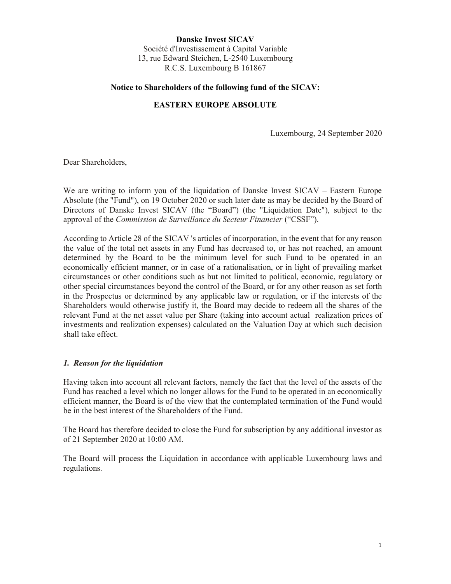Danske Invest SICAV Société d'Investissement à Capital Variable 13, rue Edward Steichen, L-2540 Luxembourg R.C.S. Luxembourg B 161867

## Notice to Shareholders of the following fund of the SICAV:

## EASTERN EUROPE ABSOLUTE

Luxembourg, 24 September 2020

Dear Shareholders,

We are writing to inform you of the liquidation of Danske Invest SICAV – Eastern Europe Absolute (the "Fund"), on 19 October 2020 or such later date as may be decided by the Board of Directors of Danske Invest SICAV (the "Board") (the "Liquidation Date"), subject to the approval of the Commission de Surveillance du Secteur Financier ("CSSF").

According to Article 28 of the SICAV 's articles of incorporation, in the event that for any reason the value of the total net assets in any Fund has decreased to, or has not reached, an amount determined by the Board to be the minimum level for such Fund to be operated in an economically efficient manner, or in case of a rationalisation, or in light of prevailing market circumstances or other conditions such as but not limited to political, economic, regulatory or other special circumstances beyond the control of the Board, or for any other reason as set forth in the Prospectus or determined by any applicable law or regulation, or if the interests of the Shareholders would otherwise justify it, the Board may decide to redeem all the shares of the relevant Fund at the net asset value per Share (taking into account actual realization prices of investments and realization expenses) calculated on the Valuation Day at which such decision shall take effect.

## 1. Reason for the liquidation

Having taken into account all relevant factors, namely the fact that the level of the assets of the Fund has reached a level which no longer allows for the Fund to be operated in an economically efficient manner, the Board is of the view that the contemplated termination of the Fund would be in the best interest of the Shareholders of the Fund.

The Board has therefore decided to close the Fund for subscription by any additional investor as of 21 September 2020 at 10:00 AM.

The Board will process the Liquidation in accordance with applicable Luxembourg laws and regulations.